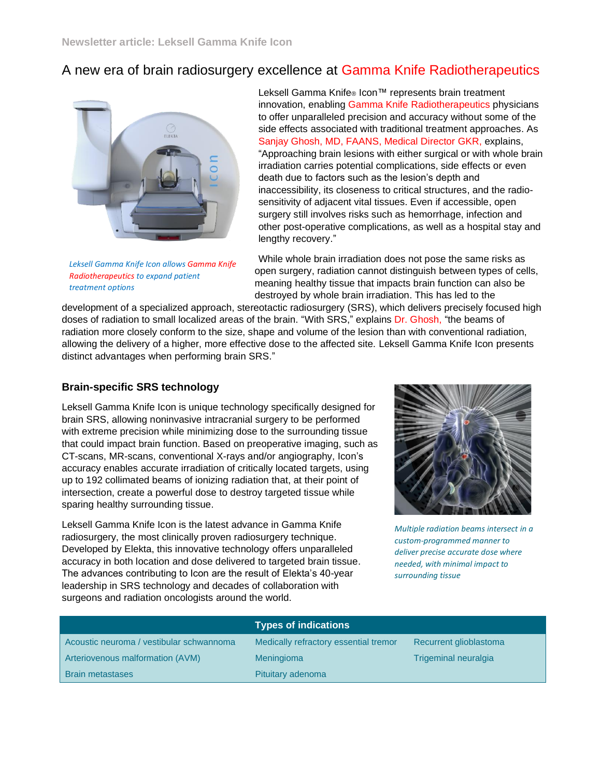## A new era of brain radiosurgery excellence at Gamma Knife Radiotherapeutics



*Leksell Gamma Knife Icon allows Gamma Knife Radiotherapeutics to expand patient treatment options* 

Leksell Gamma Knife® Icon™ represents brain treatment innovation, enabling Gamma Knife Radiotherapeutics physicians to offer unparalleled precision and accuracy without some of the side effects associated with traditional treatment approaches. As Sanjay Ghosh, MD, FAANS, Medical Director GKR, explains, "Approaching brain lesions with either surgical or with whole brain irradiation carries potential complications, side effects or even death due to factors such as the lesion's depth and inaccessibility, its closeness to critical structures, and the radiosensitivity of adjacent vital tissues. Even if accessible, open surgery still involves risks such as hemorrhage, infection and other post-operative complications, as well as a hospital stay and lengthy recovery."

While whole brain irradiation does not pose the same risks as open surgery, radiation cannot distinguish between types of cells, meaning healthy tissue that impacts brain function can also be destroyed by whole brain irradiation. This has led to the

development of a specialized approach, stereotactic radiosurgery (SRS), which delivers precisely focused high doses of radiation to small localized areas of the brain. "With SRS," explains Dr. Ghosh, "the beams of radiation more closely conform to the size, shape and volume of the lesion than with conventional radiation, allowing the delivery of a higher, more effective dose to the affected site. Leksell Gamma Knife Icon presents distinct advantages when performing brain SRS."

## **Brain-specific SRS technology**

Leksell Gamma Knife Icon is unique technology specifically designed for brain SRS, allowing noninvasive intracranial surgery to be performed with extreme precision while minimizing dose to the surrounding tissue that could impact brain function. Based on preoperative imaging, such as CT-scans, MR-scans, conventional X-rays and/or angiography, Icon's accuracy enables accurate irradiation of critically located targets, using up to 192 collimated beams of ionizing radiation that, at their point of intersection, create a powerful dose to destroy targeted tissue while sparing healthy surrounding tissue.

Leksell Gamma Knife Icon is the latest advance in Gamma Knife radiosurgery, the most clinically proven radiosurgery technique. Developed by Elekta, this innovative technology offers unparalleled accuracy in both location and dose delivered to targeted brain tissue. The advances contributing to Icon are the result of Elekta's 40-year leadership in SRS technology and decades of collaboration with surgeons and radiation oncologists around the world.



*Multiple radiation beams intersect in a custom-programmed manner to deliver precise accurate dose where needed, with minimal impact to surrounding tissue*

|                                          | <b>Types of indications</b>           |                             |
|------------------------------------------|---------------------------------------|-----------------------------|
| Acoustic neuroma / vestibular schwannoma | Medically refractory essential tremor | Recurrent glioblastoma      |
| Arteriovenous malformation (AVM)         | Meningioma                            | <b>Trigeminal neuralgia</b> |
| <b>Brain metastases</b>                  | Pituitary adenoma                     |                             |